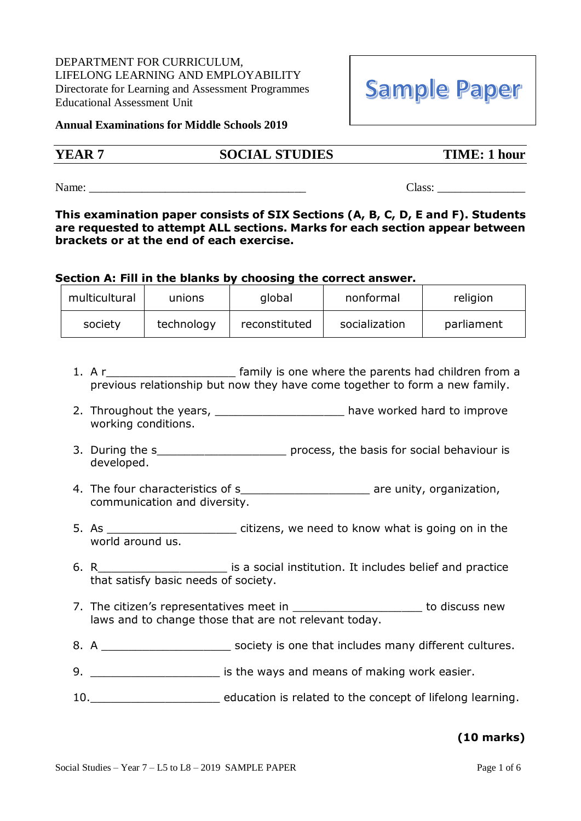DEPARTMENT FOR CURRICULUM, LIFELONG LEARNING AND EMPLOYABILITY Directorate for Learning and Assessment Programmes Educational Assessment Unit

#### **Annual Examinations for Middle Schools 2019**

# **YEAR 7 SOCIAL STUDIES TIME: 1 hour**

Name: \_\_\_\_\_\_\_\_\_\_\_\_\_\_\_\_\_\_\_\_\_\_\_\_\_\_\_\_\_\_\_\_\_\_\_\_\_ Class: \_\_\_\_\_\_\_\_\_\_\_\_\_\_\_

**This examination paper consists of SIX Sections (A, B, C, D, E and F). Students are requested to attempt ALL sections. Marks for each section appear between brackets or at the end of each exercise.**

#### **Section A: Fill in the blanks by choosing the correct answer.**

| multicultural | unions     | global        | nonformal     | religion   |
|---------------|------------|---------------|---------------|------------|
| society       | technology | reconstituted | socialization | parliament |

- 1. A r\_\_\_\_\_\_\_\_\_\_\_\_\_\_\_\_\_\_\_\_\_\_\_\_ family is one where the parents had children from a previous relationship but now they have come together to form a new family.
- 2. Throughout the years, \_\_\_\_\_\_\_\_\_\_\_\_\_\_\_\_\_\_\_\_\_\_ have worked hard to improve working conditions.
- 3. During the s<sub>2</sub> and the s<sub>2</sub> and the s<sub>2</sub> and the process, the basis for social behaviour is developed.
- 4. The four characteristics of s example the same value of set of set of set of are unity, organization, communication and diversity.
- 5. As \_\_\_\_\_\_\_\_\_\_\_\_\_\_\_\_\_\_\_ citizens, we need to know what is going on in the world around us.
- 6. R\_\_\_\_\_\_\_\_\_\_\_\_\_\_\_\_\_\_\_ is a social institution. It includes belief and practice that satisfy basic needs of society.
- 7. The citizen's representatives meet in **Fig. 2018** to discuss new laws and to change those that are not relevant today.
- 8. A **A Example 20** Society is one that includes many different cultures.
- 9. \_\_\_\_\_\_\_\_\_\_\_\_\_\_\_\_\_\_\_\_\_\_\_\_ is the ways and means of making work easier.
- 10.\_\_\_\_\_\_\_\_\_\_\_\_\_\_\_\_\_\_\_ education is related to the concept of lifelong learning.

# **(10 marks)**

# **Sample Paper**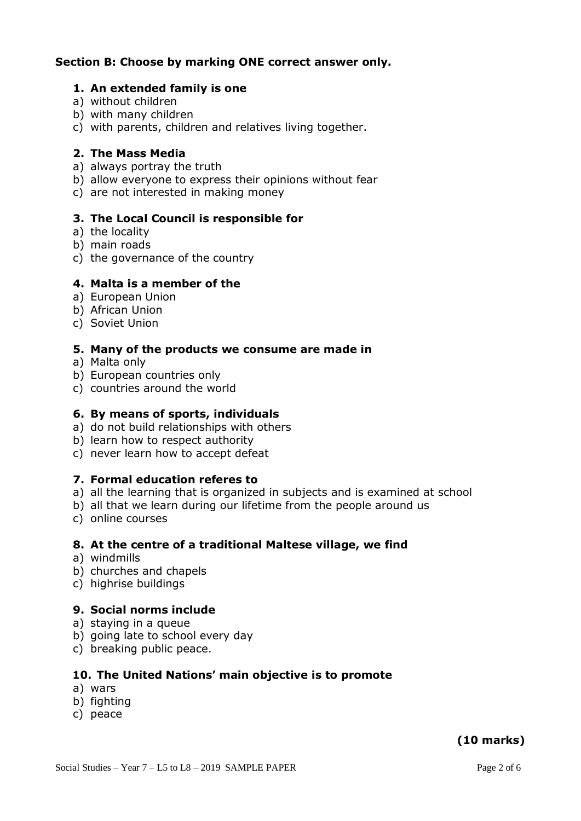# **Section B: Choose by marking ONE correct answer only.**

#### **1. An extended family is one**

- a) without children
- b) with many children
- c) with parents, children and relatives living together.

#### **2. The Mass Media**

- a) always portray the truth
- b) allow everyone to express their opinions without fear
- c) are not interested in making money

# **3. The Local Council is responsible for**

- a) the locality
- b) main roads
- c) the governance of the country

#### **4. Malta is a member of the**

- a) European Union
- b) African Union
- c) Soviet Union

#### **5. Many of the products we consume are made in**

- a) Malta only
- b) European countries only
- c) countries around the world

#### **6. By means of sports, individuals**

- a) do not build relationships with others
- b) learn how to respect authority
- c) never learn how to accept defeat

# **7. Formal education referes to**

- a) all the learning that is organized in subjects and is examined at school
- b) all that we learn during our lifetime from the people around us
- c) online courses

# **8. At the centre of a traditional Maltese village, we find**

- a) windmills
- b) churches and chapels
- c) highrise buildings

# **9. Social norms include**

- a) staying in a queue
- b) going late to school every day
- c) breaking public peace.

# **10. The United Nations' main objective is to promote**

- a) wars
- b) fighting
- c) peace

# **(10 marks)**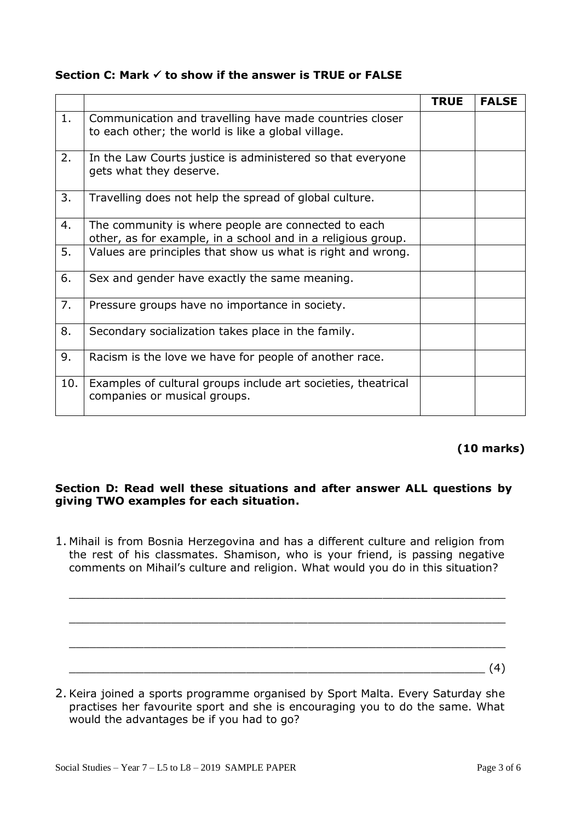| Section C: Mark $\checkmark$ to show if the answer is TRUE or FALSE |  |  |  |
|---------------------------------------------------------------------|--|--|--|
|---------------------------------------------------------------------|--|--|--|

|     |                                                                                                                     | <b>TRUE</b> | <b>FALSE</b> |
|-----|---------------------------------------------------------------------------------------------------------------------|-------------|--------------|
| 1.  | Communication and travelling have made countries closer<br>to each other; the world is like a global village.       |             |              |
| 2.  | In the Law Courts justice is administered so that everyone<br>gets what they deserve.                               |             |              |
| 3.  | Travelling does not help the spread of global culture.                                                              |             |              |
| 4.  | The community is where people are connected to each<br>other, as for example, in a school and in a religious group. |             |              |
| 5.  | Values are principles that show us what is right and wrong.                                                         |             |              |
| 6.  | Sex and gender have exactly the same meaning.                                                                       |             |              |
| 7.  | Pressure groups have no importance in society.                                                                      |             |              |
| 8.  | Secondary socialization takes place in the family.                                                                  |             |              |
| 9.  | Racism is the love we have for people of another race.                                                              |             |              |
| 10. | Examples of cultural groups include art societies, theatrical<br>companies or musical groups.                       |             |              |

# **(10 marks)**

# **Section D: Read well these situations and after answer ALL questions by giving TWO examples for each situation.**

1. Mihail is from Bosnia Herzegovina and has a different culture and religion from the rest of his classmates. Shamison, who is your friend, is passing negative comments on Mihail's culture and religion. What would you do in this situation?

\_\_\_\_\_\_\_\_\_\_\_\_\_\_\_\_\_\_\_\_\_\_\_\_\_\_\_\_\_\_\_\_\_\_\_\_\_\_\_\_\_\_\_\_\_\_\_\_\_\_\_\_\_\_\_\_\_\_\_\_\_\_\_\_

\_\_\_\_\_\_\_\_\_\_\_\_\_\_\_\_\_\_\_\_\_\_\_\_\_\_\_\_\_\_\_\_\_\_\_\_\_\_\_\_\_\_\_\_\_\_\_\_\_\_\_\_\_\_\_\_\_\_\_\_\_\_\_\_

 $\_$  ,  $\_$  ,  $\_$  ,  $\_$  ,  $\_$  ,  $\_$  ,  $\_$  ,  $\_$  ,  $\_$  ,  $\_$  ,  $\_$  ,  $\_$  ,  $\_$  ,  $\_$  ,  $\_$  ,  $\_$  ,  $\_$  ,  $\_$  ,  $\_$  ,  $\_$  ,  $\_$  ,  $\_$  ,  $\_$  ,  $\_$  ,  $\_$  ,  $\_$  ,  $\_$  ,  $\_$  ,  $\_$  ,  $\_$  ,  $\_$  ,  $\_$  ,  $\_$  ,  $\_$  ,  $\_$  ,  $\_$  ,  $\_$  ,

2. Keira joined a sports programme organised by Sport Malta. Every Saturday she practises her favourite sport and she is encouraging you to do the same. What would the advantages be if you had to go?

 $\frac{1}{2}$  (4)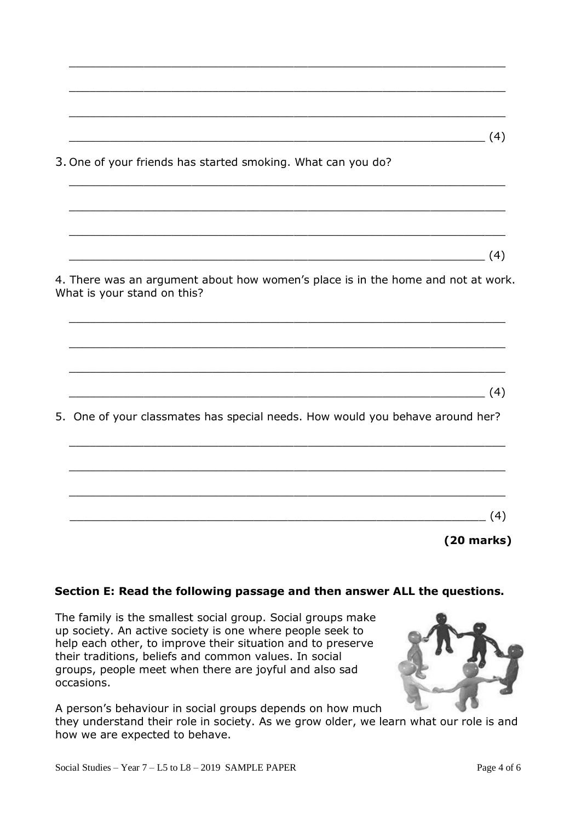| (4)                                                                                                             |
|-----------------------------------------------------------------------------------------------------------------|
| 3. One of your friends has started smoking. What can you do?                                                    |
|                                                                                                                 |
|                                                                                                                 |
| (4)                                                                                                             |
| 4. There was an argument about how women's place is in the home and not at work.<br>What is your stand on this? |
|                                                                                                                 |
| (4)                                                                                                             |
| 5. One of your classmates has special needs. How would you behave around her?                                   |
|                                                                                                                 |
|                                                                                                                 |
| (4)                                                                                                             |
| $(20$ marks)                                                                                                    |

 $\_$  ,  $\_$  ,  $\_$  ,  $\_$  ,  $\_$  ,  $\_$  ,  $\_$  ,  $\_$  ,  $\_$  ,  $\_$  ,  $\_$  ,  $\_$  ,  $\_$  ,  $\_$  ,  $\_$  ,  $\_$  ,  $\_$  ,  $\_$  ,  $\_$  ,  $\_$  ,  $\_$  ,  $\_$  ,  $\_$  ,  $\_$  ,  $\_$  ,  $\_$  ,  $\_$  ,  $\_$  ,  $\_$  ,  $\_$  ,  $\_$  ,  $\_$  ,  $\_$  ,  $\_$  ,  $\_$  ,  $\_$  ,  $\_$  ,

# **Section E: Read the following passage and then answer ALL the questions.**

The family is the smallest social group. Social groups make up society. An active society is one where people seek to help each other, to improve their situation and to preserve their traditions, beliefs and common values. In social groups, people meet when there are joyful and also sad occasions.

A person's behaviour in social groups depends on how much they understand their role in society. As we grow older, we learn what our role is and how we are expected to behave.

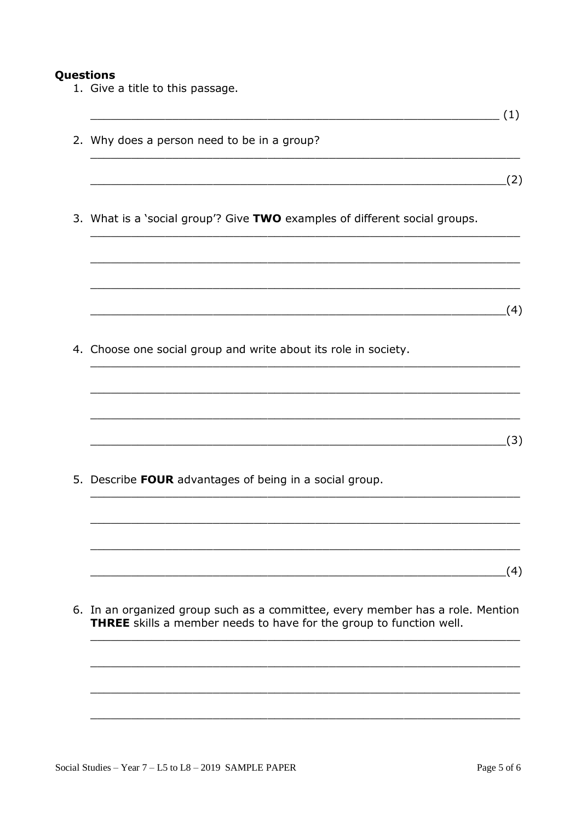#### Questions

- 1. Give a title to this passage.
- $\overline{\hspace{2cm}}$  (1) 2. Why does a person need to be in a group?  $(2)$ 3. What is a 'social group'? Give TWO examples of different social groups.  $(4)$ 4. Choose one social group and write about its role in society.  $\overline{\hspace{2cm}}$  (3) 5. Describe FOUR advantages of being in a social group.  $(4)$ 6. In an organized group such as a committee, every member has a role. Mention THREE skills a member needs to have for the group to function well.